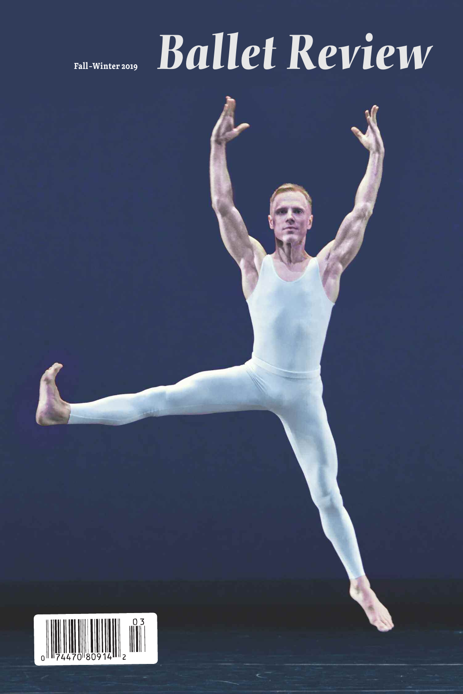# **Fall–Winter <sup>2019</sup>** *Ballet Review*

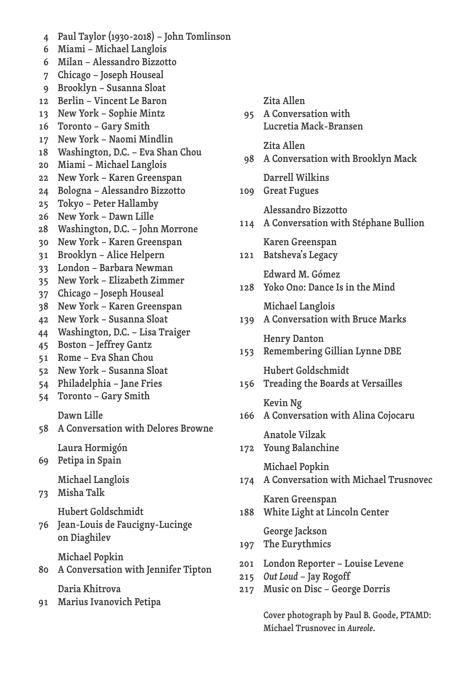- **Paul Taylor (1930-2018) – John Tomlinson**
- **Miami – Michael Langlois**
- **Milan – Alessandro Bizzotto**
- **Chicago – Joseph Houseal**
- **Brooklyn – Susanna Sloat**
- **Berlin – Vincent Le Baron**
- **New York – Sophie Mintz**
- **Toronto – Gary Smith**
- **New York – Naomi Mindlin**
- **Washington, D.C. – Eva Shan Chou**
- **Miami – Michael Langlois**
- **New York – Karen Greenspan**
- **Bologna – Alessandro Bizzotto**
- **Tokyo – Peter Hallamby**
- **New York – Dawn Lille**
- **Washington, D.C. – John Morrone**
- 
- **New York – Karen Greenspan**
- **Brooklyn – Alice Helpern**
- 
- **London – Barbara Newman**
- **New York – Elizabeth Zimmer**
- **Chicago – Joseph Houseal**
- **New York – Karen Greenspan**
- **New York – Susanna Sloat**
- **Washington, D.C. – Lisa Traiger**
- **Boston – Jeffrey Gantz**
- **Rome – Eva Shan Chou**
- 
- **New York – Susanna Sloat**
- **Philadelphia – Jane Fries**
- **Toronto – Gary Smith**
	- **Dawn Lille**
- **A Conversation with Delores Browne**

**Laura Hormigón**

**Petipa in Spain**

**Michael Langlois**

**Misha Talk**

**Hubert Goldschmidt**

- **Jean-Louis de Faucigny-Lucinge on Diaghilev**
	- **Michael Popkin**
- **A Conversation with Jennifer Tipton**

**Daria Khitrova**

**Marius Ivanovich Petipa**

**Zita Allen**

**Zita Allen**

**Great Fugues**

**Darrell Wilkins**

**A Conversation with**

**Lucretia Mack-Bransen**

- **Cover photograph by Paul B. Goode, PTAMD:**
	- **Michael Trusnovec in** *Aureole***.**

**Karen Greenspan White Light at Lincoln Center**

**London Reporter – Louise Levene**

**Music on Disc – George Dorris**

- **Michael Popkin A Conversation with Michael Trusnovec**
- **Young Balanchine**

**George Jackson The Eurythmics**

*Out Loud* **– Jay Rogoff**

- 
- **Anatole Vilzak**
- **A Conversation with Alina Cojocaru**
- **Kevin Ng**
- **Hubert Goldschmidt Treading the Boards at Versailles**
- **Henry Danton Remembering Gillian Lynne DBE**
- **Michael Langlois A Conversation with Bruce Marks**
- **Yoko Ono: Dance Is in the Mind**
- **Edward M. Gómez**
- **Karen Greenspan Batsheva's Legacy**
- **Alessandro Bizzotto A Conversation with Stéphane Bullion**

**A Conversation with Brooklyn Mack**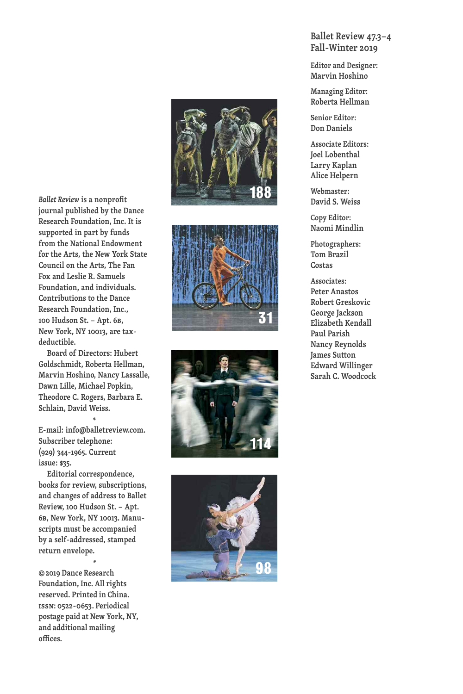Ballet Review is a nonprofit journal published by the Dance Research Foundation, Inc. It is **supported in part by funds from the National Endowment** for the Arts, the New York State Council on the Arts, The Fan **Fox and Leslie R. Samuels** Foundation, and individuals. Contributions to the Dance **Research Foundation, Inc., 1 0 0 H u d s o n S t . – A p t . 6B, N e w Yo r k , N Y 1 0 0 1 3 , a r e t a x d e d u c t i b l e .**

Board of Directors: Hubert Goldschmidt, Roberta Hellman, Marvin Hoshino, Nancy Lassalle, Dawn Lille, Michael Popkin, Theodore C. Rogers, Barbara E. **S c h l a i n , D av i d We i s s .**

**\*** E-mail: info@balletreview.com. **Subscriber telephone: ( 9 2 9 ) 3 4 4 - 1 9 6 5 . C u r r e n t i s s u e : \$ 3 5 .**

**Editorial correspondence,** books for review, subscriptions, and changes of address to Ballet **Review, 100 Hudson St. – Apt. 6B , N e w Yo r k , N Y 1 0 0 1 3 . M a n u s**cripts must be accompanied by a self-addressed, stamped **return envelope .\***

**©201 9 D a n c e R e s e a r c h Foundation, Inc. All rights** reserved. Printed in China. **issn: 0522-0653. Periodical p o s t a g e p a i d a t N e w Yo r k , NY, a n d a d d i t i o n a l m a i l i n g o ffi c e s .**









#### **B a l l e t R e v i e w 4 7 . 3–4 F a l l - W i n t e r 2 0 1 9**

**Editor and Designer: M a r v i n H o s h i n o**

**M a n a g i n g E d i t o r : Roberta Hellman** 

**S e n i o r E d i t o r : D o n D a n i e l s**

**A s s o c i a t e E d i t o r s : J o e l L o b e n t h a l L a r r y K a p l a n Alice Helpern** 

**We b m a s t e r : D av i d S . We i s s**

**C o p y E d i t o r : N a o m i M i n d l i n**

**P h o t o g r a p h e r s : T o m B r a z i l Costas** 

**A s s o c i a t e s : Peter Anastos R o b e r t G r e s k o v i c G e o r g e J a c k s o n E l i z a b e t h K e n d a l l P a u l P a r i s h N a n c y R e y n o l d s J a m e s S u tt o n E d w a r d W i l l i n g e r S a r a h C . Wo o d c o c k**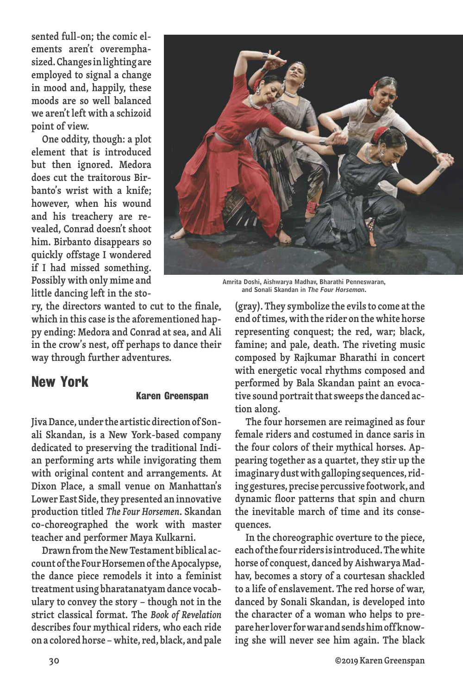**sented full-on; the comic elements aren't overemphasized.Changesinlighting are employed to signal a change in mood and, happily, these moods are so well balanced we aren't left with a schizoid point of view.**

**One oddity, though: a plot element that is introduced but then ignored. Medora does cut the traitorous Birbanto's wrist with a knife; however, when his wound and his treachery are revealed, Conrad doesn't shoot him. Birbanto disappears so quickly offstage I wondered if I had missed something. Possibly with only mime and little dancing left in the sto-**



**Amrita Doshi, Aishwarya Madhav, Bharathi Penneswaran, and Sonali Skandan in** *The Four Horseman.*

**ry, the directors wanted to cut to the finale, which in this case isthe aforementioned happy ending: Medora and Conrad at sea, and Ali in the crow's nest, off perhaps to dance their way through further adventures.**

### **New York**

#### **Karen Greenspan**

**JivaDance,under the artisticdirectionof Sonali Skandan, is a New York-based company dedicated to preserving the traditional Indian performing arts while invigorating them with original content and arrangements. At Dixon Place, a small venue on Manhattan's Lower East Side,they presented an innovative production titled** *The Four Horsemen***. Skandan co-choreographed the work with master teacher and performer Maya Kulkarni.**

**DrawnfromtheNewTestament biblical account ofthe FourHorsemenoftheApocalypse, the dance piece remodels it into a feminist treatment using bharatanatyamdance vocabulary to convey the story – though not in the strict classical format. The** *Book of Revelation* **describes four mythical riders, who each ride ona coloredhorse –white, red, black, and pale** **(gray). They symbolize the evilsto come atthe end oftimes,with the rider onthewhite horse representing conquest; the red, war; black, famine; and pale, death. The riveting music composed by Rajkumar Bharathi in concert with energetic vocal rhythms composed and performed by Bala Skandan paint an evocative sound portraitthatsweepsthe danced action along.**

**The four horsemen are reimagined as four female riders and costumed in dance saris in the four colors of their mythical horses. Appearing together as a quartet, they stir up the imaginarydustwithgalloping sequences, riding gestures,precisepercussive footwork, and dynamic floor patterns that spin and churn the inevitable march of time and its consequences.**

**In the choreographic overture to the piece, eachofthefourridersisintroduced.Thewhite horse of conquest, danced byAishwaryaMadhav, becomes a story of a courtesan shackled to a life of enslavement. The red horse of war, danced by Sonali Skandan, is developed into the character of a woman who helps to prepareherloverforwarandsendshimoffknowing she will never see him again. The black**